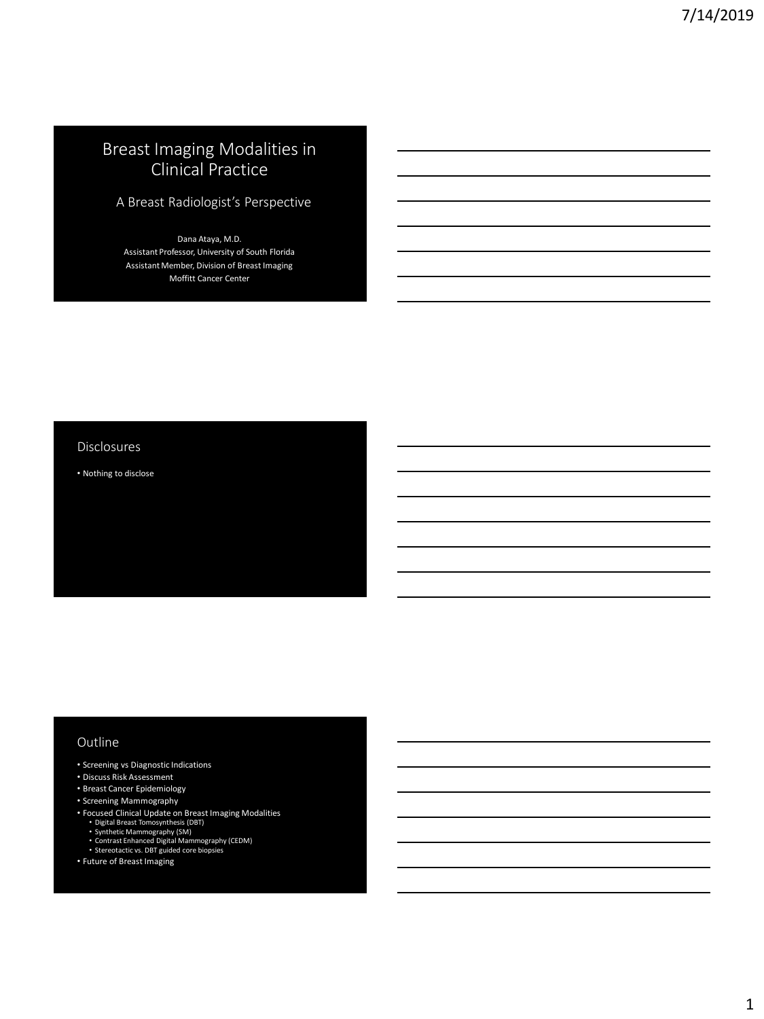# Breast Imaging Modalities in Clinical Practice

A Breast Radiologist's Perspective

Dana Ataya, M.D. Assistant Professor, University of South Florida Assistant Member, Division of Breast Imaging Moffitt Cancer Center

#### Disclosures

• Nothing to disclose

#### Outline

- Screening vs Diagnostic Indications
- Discuss Risk Assessment
- Breast Cancer Epidemiology
- Screening Mammography
- 
- 
- 
- Focused Clinical Update on Breast Imaging Modalities<br>• Digital Breast Tomosynthesis (DBT)<br>• Synthetic Mammography (SM)<br>• Contrast Enhanced Digital Mammography (CEDM)<br>• Stereotactic vs. DBT guided core biopsies
	-
- Future of Breast Imaging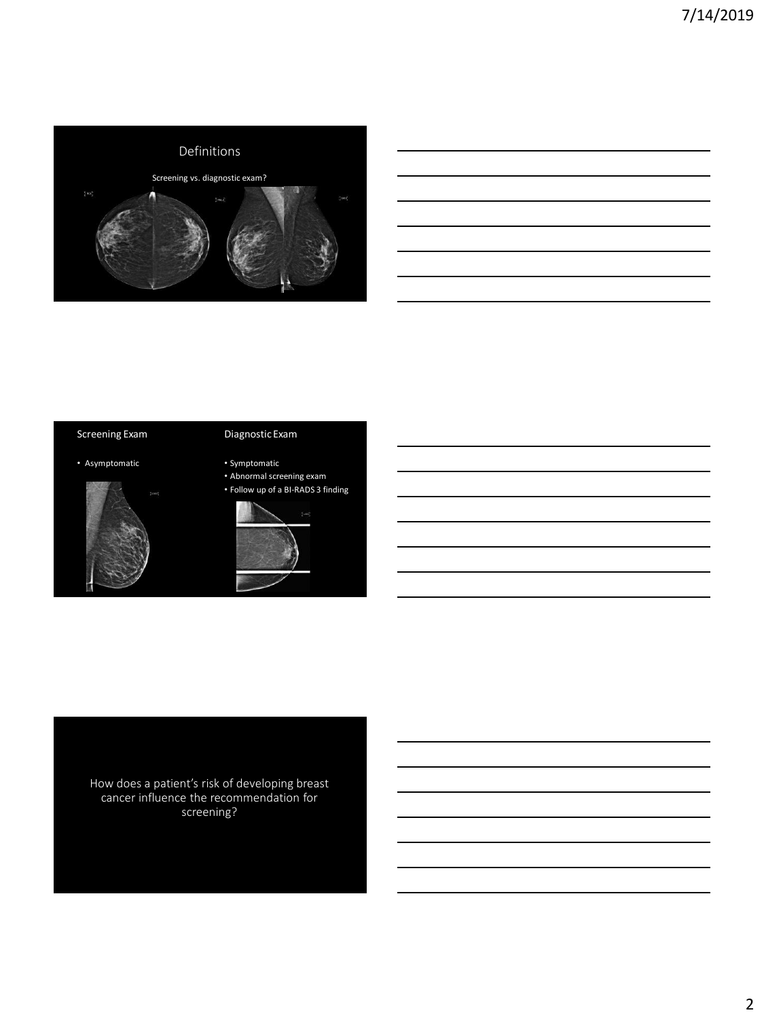

### Screening Exam

### Diagnostic Exam

• Asymptomatic



#### • Symptomatic • Abnormal screening exam

• Follow up of a BI-RADS 3 finding



How does a patient's risk of developing breast cancer influence the recommendation for screening?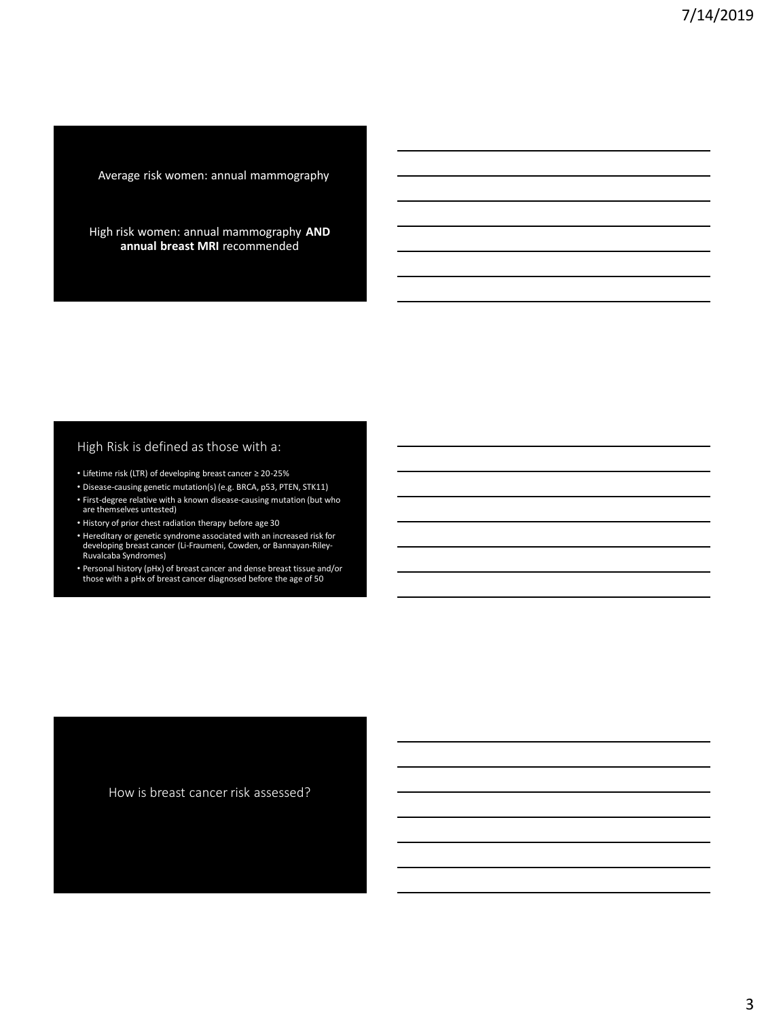Average risk women: annual mammography

High risk women: annual mammography **AND annual breast MRI** recommended

### High Risk is defined as those with a:

- Lifetime risk (LTR) of developing breast cancer ≥ 20-25%
- Disease-causing genetic mutation(s) (e.g. BRCA, p53, PTEN, STK11)
- First-degree relative with a known disease-causing mutation (but who are themselves untested)
- History of prior chest radiation therapy before age 30
- Hereditary or genetic syndrome associated with an increased risk for developing breast cancer (Li-Fraumeni, Cowden, or Bannayan-Riley-Ruvalcaba Syndromes)
- Personal history (pHx) of breast cancer and dense breast tissue and/or those with a pHx of breast cancer diagnosed before the age of 50

How is breast cancer risk assessed?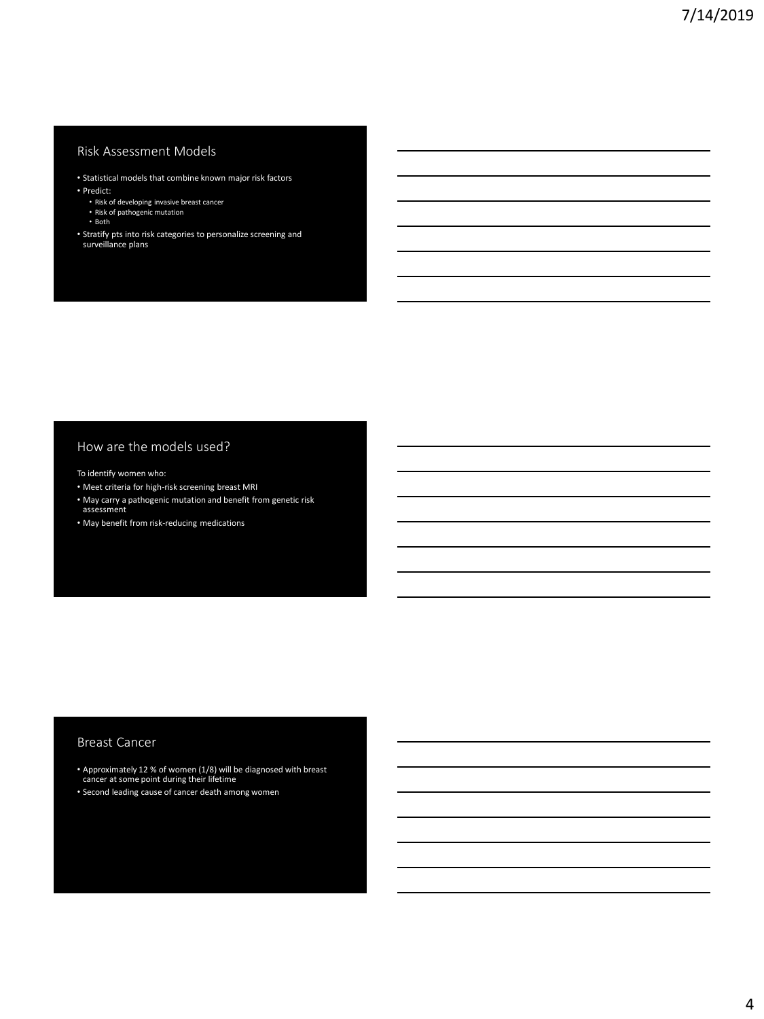## Risk Assessment Models

- Statistical models that combine known major risk factors • Predict:
	- Risk of developing invasive breast cancer Risk of pathogenic mutation
	-
	- Both
- Stratify pts into risk categories to personalize screening and surveillance plans

#### How are the models used?

To identify women who:

- Meet criteria for high-risk screening breast MRI
- May carry a pathogenic mutation and benefit from genetic risk assessment
- May benefit from risk-reducing medications

#### Breast Cancer

• Approximately 12 % of women (1/8) will be diagnosed with breast cancer at some point during their lifetime

• Second leading cause of cancer death among women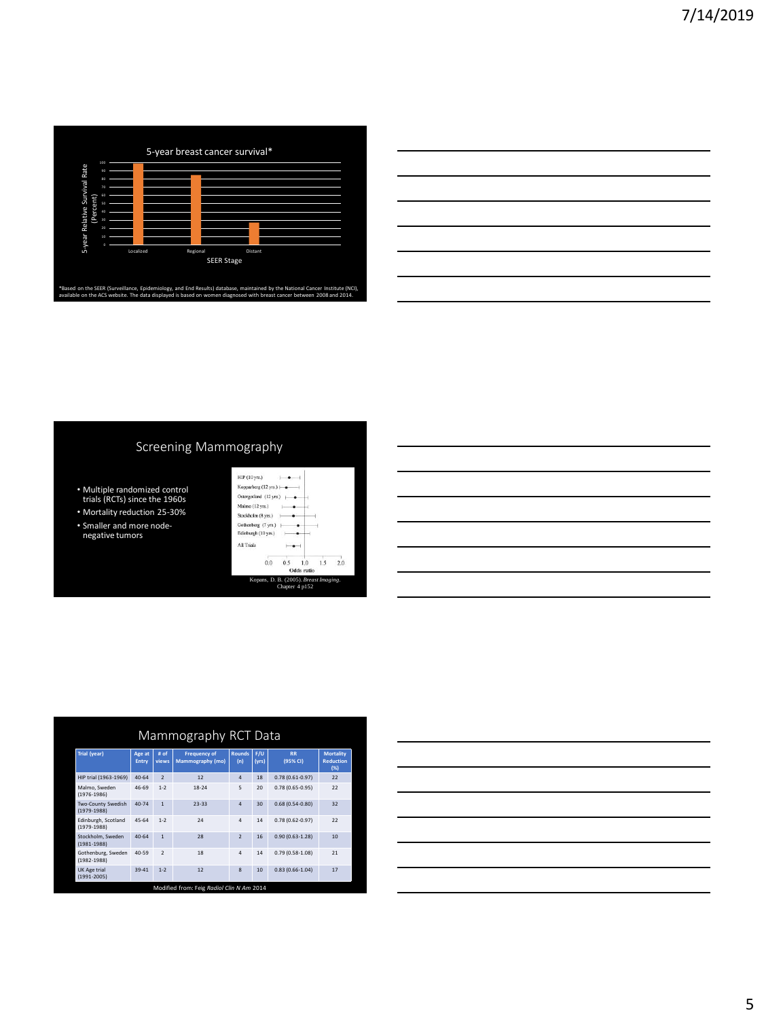

|                                                             |  | ____ |
|-------------------------------------------------------------|--|------|
|                                                             |  |      |
|                                                             |  |      |
|                                                             |  |      |
| <u> 1989 - Johann Stoff, amerikansk politiker (d. 1989)</u> |  |      |
|                                                             |  |      |

# Screening Mammography

- Multiple randomized control trials (RCTs) since the 1960s
- Mortality reduction 25-30% • Smaller and more node-negative tumors

|                        |     | Odds ratio |     |     |
|------------------------|-----|------------|-----|-----|
| 0.0                    | 0.5 | 1.0        | 1.5 | 2.0 |
| All Trials             |     |            |     |     |
| Edinburgh (10 yrs.)    |     |            |     |     |
| Gothenberg (7 yrs.)    |     |            |     |     |
| Stockholm (8 yrs.)     |     |            |     |     |
| Malmo (12 yrs.)        |     |            |     |     |
| Ostergotland (12 vrs.) |     |            |     |     |
| Kopparberg (12 vrs.)   |     |            |     |     |
| HIP (10 yrs.)          |     |            |     |     |

| Mammography RCT Data                   |                 |                |                                         |                      |              |                       |                                             |
|----------------------------------------|-----------------|----------------|-----------------------------------------|----------------------|--------------|-----------------------|---------------------------------------------|
| Trial (year)                           | Age at<br>Entry | # of<br>views  | <b>Frequency of</b><br>Mammography (mo) | <b>Rounds</b><br>(n) | F/U<br>(vrs) | <b>RR</b><br>(95% CI) | <b>Mortality</b><br><b>Reduction</b><br>(%) |
| HIP trial (1963-1969)                  | $40 - 64$       | $\overline{2}$ | 12                                      | $\Delta$             | 18           | $0.78(0.61 - 0.97)$   | 22                                          |
| Malmo, Sweden<br>$(1976 - 1986)$       | 46-69           | $1-2$          | $18 - 24$                               | 5                    | 20           | $0.78(0.65 - 0.95)$   | 22                                          |
| Two-County Swedish<br>$(1979-1988)$    | 40-74           | $\overline{1}$ | $23 - 33$                               | $\overline{a}$       | 30           | $0.68(0.54 - 0.80)$   | 32                                          |
| Edinburgh, Scotland<br>$(1979 - 1988)$ | 45-64           | $1 - 2$        | 24                                      | 4                    | 14           | $0.78(0.62 - 0.97)$   | 22                                          |
| Stockholm, Sweden<br>$(1981 - 1988)$   | $40 - 64$       | $\overline{1}$ | 28                                      | $\overline{z}$       | 16           | $0.90(0.63 - 1.28)$   | 10                                          |
| Gothenburg, Sweden<br>$(1982 - 1988)$  | 40-59           | $\overline{ }$ | 18                                      | 4                    | 14           | $0.79(0.58 - 1.08)$   | 21                                          |
| <b>UK Age trial</b><br>$(1991 - 2005)$ | 39-41           | $1 - 2$        | 12                                      | $\mathbf{R}$         | 10           | $0.83(0.66 - 1.04)$   | 17                                          |

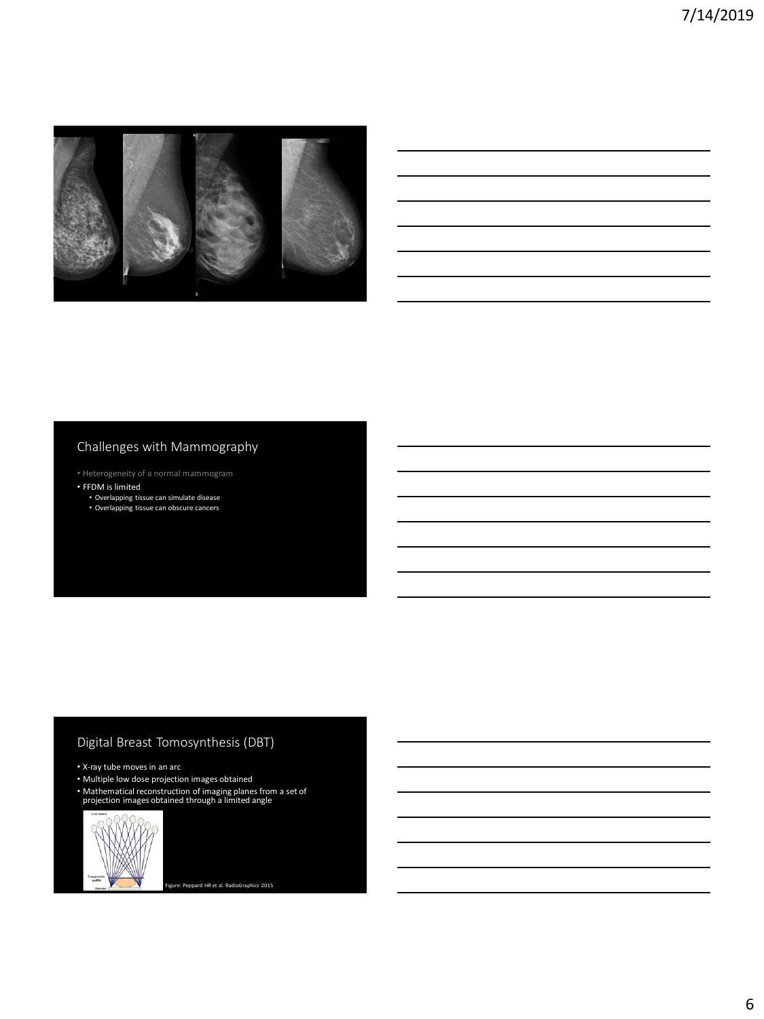

# Challenges with Mammography

- Heterogeneity of a normal mammogram
- FFDM is limited • Overlapping tissue can simulate disease • Overlapping tissue can obscure cancers

# Digital Breast Tomosynthesis (DBT)

- X-ray tube moves in an arc
- Multiple low dose projection images obtained
- Mathematical reconstruction of imaging planes from a set of projection images obtained through a limited angle



Figure: Peppard HR et al. RadioGraphics 2015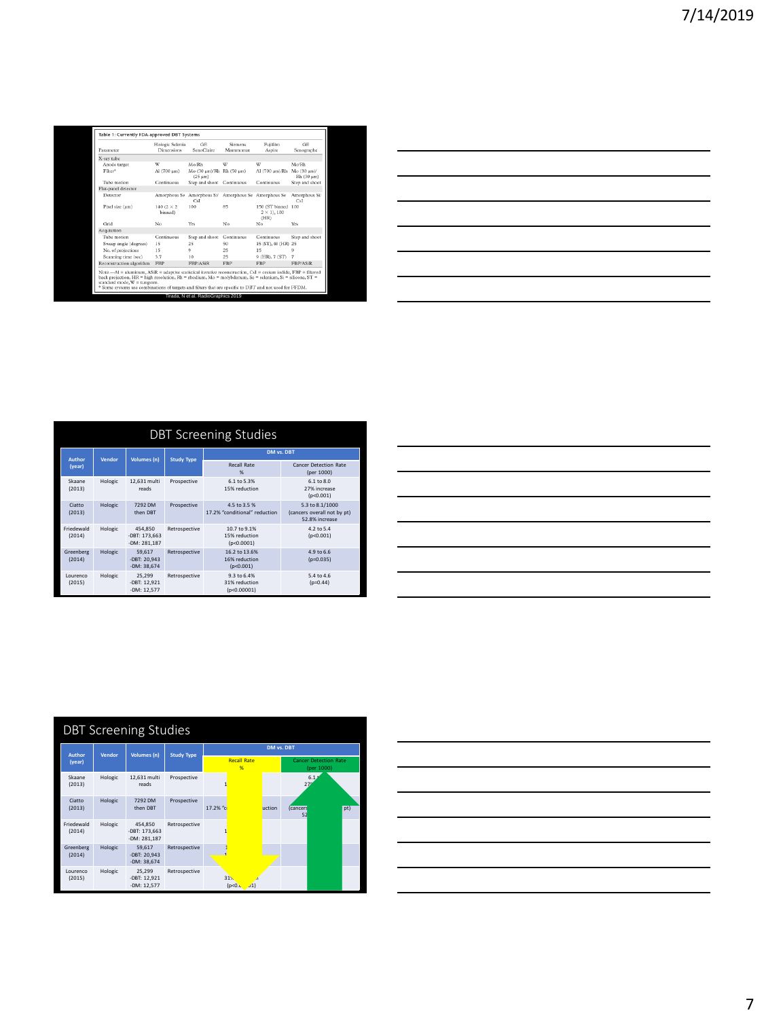| Parameter                                                                                                                                                                                                                                                                                                                                                              | Hologic Selenia<br><b>Dimensions</b> | <b>GE</b><br>SenoClaire                                     | Siemens<br>Mammomar | Fujifilm<br>Aspire                           | <b>GE</b><br>Senographe           |
|------------------------------------------------------------------------------------------------------------------------------------------------------------------------------------------------------------------------------------------------------------------------------------------------------------------------------------------------------------------------|--------------------------------------|-------------------------------------------------------------|---------------------|----------------------------------------------|-----------------------------------|
| X-ray tube                                                                                                                                                                                                                                                                                                                                                             |                                      |                                                             |                     |                                              |                                   |
| Anode target                                                                                                                                                                                                                                                                                                                                                           | W                                    | Mo/Rh                                                       | W                   | W                                            | Mo/Rh                             |
| Filter®                                                                                                                                                                                                                                                                                                                                                                | Al (700 um)                          | Mo (30 um)/Rh Rh (50 um)<br>$(25 \text{ }\mu\text{m})$      |                     | Al (700 um)/Rh                               | $Mo(30 \text{ um})$<br>Rh (30 um) |
| Tube motion                                                                                                                                                                                                                                                                                                                                                            | Continuous                           | Step and shoot                                              | Continuous          | Continuous                                   | Step and shoot                    |
| Flat-panel detector                                                                                                                                                                                                                                                                                                                                                    |                                      |                                                             |                     |                                              |                                   |
| Detector                                                                                                                                                                                                                                                                                                                                                               |                                      | Amorphous Se Amorphous Si/ Amorphous Se Amorphous Se<br>CsI |                     |                                              | Amorphous Si/<br>CsI              |
| Pixel size (um)                                                                                                                                                                                                                                                                                                                                                        | $140(2 \times 2)$<br>binned)         | 100                                                         | 85                  | 150 (ST binned<br>$2 \times 1$ , 100<br>(HR) | 100                               |
| Grid                                                                                                                                                                                                                                                                                                                                                                   | No                                   | Yes                                                         | No                  | No                                           | Yes                               |
| Acquisition                                                                                                                                                                                                                                                                                                                                                            |                                      |                                                             |                     |                                              |                                   |
| Tube motion                                                                                                                                                                                                                                                                                                                                                            | Continuous                           | Step and shoot                                              | Continuous          | Continuous                                   | Step and shoot                    |
| Sweep angle (degrees)                                                                                                                                                                                                                                                                                                                                                  | 15                                   | 25                                                          | 50                  | 15 (ST), 40 (HR) 25                          |                                   |
| No. of projections                                                                                                                                                                                                                                                                                                                                                     | 15                                   | q                                                           | 25                  | 15                                           | 9                                 |
| Scanning time (sec)                                                                                                                                                                                                                                                                                                                                                    | 3.7                                  | 10                                                          | 25                  | 9 (HR), 7 (ST)                               | z                                 |
| Reconstruction algorithm                                                                                                                                                                                                                                                                                                                                               | <b>FRP</b>                           | FBP/ASiR                                                    | <b>FBP</b>          | <b>FRP</b>                                   | FBP/ASiR                          |
| Note.—Al = aluminum, ASiR = adaptive statistical iterative reconstruction, CsI = cesium iodide, FBP = filtered<br>back projection, HR = high resolution, Rh = rhodium, Mo = molybdenum, Se = selenium, Si = silicone, ST =<br>standard mode, $W =$ tungsten.<br>* Some systems use combinations of targets and filters that are specific to DBT and not used for FFDM. |                                      |                                                             |                     |                                              |                                   |

| <u> 1989 - Johann Barn, mars ann an t-Amhainn an t-Amhainn an t-Amhainn an t-Amhainn an t-Amhainn an t-Amhainn an </u> |  |                                                                                                                                                                                                                                      |  |
|------------------------------------------------------------------------------------------------------------------------|--|--------------------------------------------------------------------------------------------------------------------------------------------------------------------------------------------------------------------------------------|--|
| <u> 1989 - Johann Barn, mars ann an t-Amhain ann an t-Amhain ann an t-Amhain ann an t-Amhain ann an t-Amhain ann a</u> |  |                                                                                                                                                                                                                                      |  |
|                                                                                                                        |  |                                                                                                                                                                                                                                      |  |
| <u> 1989 - Johann Barn, mars ann an t-Amhainn an t-Amhainn an t-Amhainn an t-Amhainn an t-Amhainn an t-Amhainn an </u> |  |                                                                                                                                                                                                                                      |  |
|                                                                                                                        |  | <u> The Common School Common School Common School Common School Common School Common School Common School Common School Common School Common School Common School Common School Common School Common School Common School Common</u> |  |
|                                                                                                                        |  | ________                                                                                                                                                                                                                             |  |
|                                                                                                                        |  |                                                                                                                                                                                                                                      |  |
|                                                                                                                        |  |                                                                                                                                                                                                                                      |  |

| <b>DBT Screening Studies</b> |         |                                            |                   |                                               |                                                                  |  |  |
|------------------------------|---------|--------------------------------------------|-------------------|-----------------------------------------------|------------------------------------------------------------------|--|--|
| Author                       | Vendor  | <b>Volumes</b> (n)                         | <b>Study Type</b> | DM vs. DBT                                    |                                                                  |  |  |
| (year)                       |         |                                            |                   | Recall Rate<br>%                              | <b>Cancer Detection Rate</b><br>(per 1000)                       |  |  |
| Skaane<br>(2013)             | Hologic | 12,631 multi<br>reads                      | Prospective       | 6.1 to 5.3%<br>15% reduction                  | 6.1 to 8.0<br>27% increase<br>(p<0.001)                          |  |  |
| Ciatto<br>(2013)             | Hologic | 7292 DM<br>then DRT                        | Prospective       | 4.5 to 3.5 %<br>17.2% "conditional" reduction | 5.3 to 8.1/1000<br>(cancers overall not by pt)<br>52.8% increase |  |  |
| Friedewald<br>(2014)         | Hologic | 454.850<br>-DBT: 173.663<br>$-DM: 281,187$ | Retrospective     | 10.7 to 9.1%<br>15% reduction<br>(p<0.0001)   | $4.2 \text{ to } 5.4$<br>(p<0.001)                               |  |  |
| Greenberg<br>(2014)          | Hologic | 59.617<br>-DBT: 20.943<br>-DM: 38.674      | Retrospective     | 16.2 to 13.6%<br>16% reduction<br>(p<0.001)   | 4.9 to 6.6<br>$(p=0.035)$                                        |  |  |
| Lourenco<br>(2015)           | Hologic | 25.299<br>-DBT: 12.921<br>-DM: 12,577      | Retrospective     | 9.3 to 6.4%<br>31% reduction<br>(p<0.00001)   | 5.4 to 4.6<br>$(p=0.44)$                                         |  |  |

| <u> 1989 - Johann Stoff, deutscher Stoff, der Stoff, der Stoff, der Stoff, der Stoff, der Stoff, der Stoff, der S</u>  |  |  |
|------------------------------------------------------------------------------------------------------------------------|--|--|
| <u> 1989 - Johann Stoff, deutscher Stoff, der Stoff, der Stoff, der Stoff, der Stoff, der Stoff, der Stoff, der S</u>  |  |  |
| <u> 1989 - Johann Stoff, deutscher Stoffen und der Stoffen und der Stoffen und der Stoffen und der Stoffen und der</u> |  |  |
| <u> 1989 - Johann Stoff, amerikansk politiker (d. 1989)</u>                                                            |  |  |
| <u> 1989 - Johann Stoff, deutscher Stoff, der Stoff, der Stoff, der Stoff, der Stoff, der Stoff, der Stoff, der S</u>  |  |  |
| <u> 1989 - Johann Stoff, deutscher Stoffen und der Stoffen und der Stoffen und der Stoffen und der Stoffen und d</u>   |  |  |
|                                                                                                                        |  |  |

| <b>DBT Screening Studies</b> |         |                                          |                   |                         |        |                                            |     |
|------------------------------|---------|------------------------------------------|-------------------|-------------------------|--------|--------------------------------------------|-----|
| Author                       | Vendor  | Volumes (n)                              | <b>Study Type</b> |                         |        | DM vs. DBT                                 |     |
| (year)                       |         |                                          |                   | <b>Recall Rate</b><br>% |        | <b>Cancer Detection Rate</b><br>(per 1000) |     |
| Skaane<br>(2013)             | Hologic | 12,631 multi<br>reads                    | Prospective       |                         |        | 6.1<br>27                                  |     |
| Ciatto<br>(2013)             | Hologic | 7292 DM<br>then DRT                      | Prospective       | 17.2% "c                | uction | cancers<br>52                              | pt) |
| Friedewald<br>(2014)         | Hologic | 454,850<br>-DBT: 173,663<br>-DM: 281.187 | Retrospective     |                         |        |                                            |     |
| Greenberg<br>(2014)          | Hologic | 59.617<br>-DBT: 20,943<br>-DM: 38.674    | Retrospective     |                         |        |                                            |     |
| Lourenco<br>(2015)           | Hologic | 25.299<br>-DBT: 12,921<br>-DM: 12.577    | Retrospective     | 31%<br>(p<0)            |        |                                            |     |

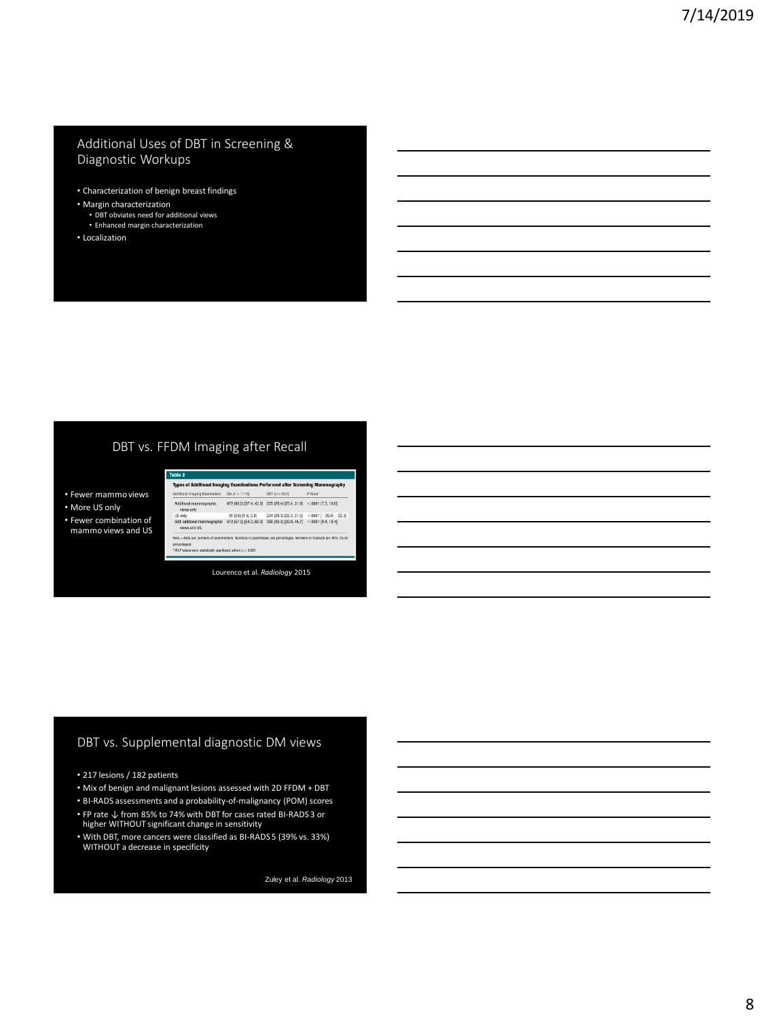#### Additional Uses of DBT in Screening & Diagnostic Workups

- Characterization of benign breast findings
- Margin characterization
	- DBT obviates need for additional views
	- Enhanced margin characterization
- Localization

### DBT vs. FFDM Imaging after Recall

- Fewer mammo views
- More US only
- Fewer combination of mammo views and US

| Table 2                                                                                                                                                                                                          |                         |                                                                     |                                               |  |  |  |
|------------------------------------------------------------------------------------------------------------------------------------------------------------------------------------------------------------------|-------------------------|---------------------------------------------------------------------|-----------------------------------------------|--|--|--|
| Types of Additional Imaging Examinations Performed after Screening Mammography                                                                                                                                   |                         |                                                                     |                                               |  |  |  |
| Additional Imaging Examination                                                                                                                                                                                   | $DM (o = 1175)$         | $DBT (p = 827)$                                                     | P'Value"                                      |  |  |  |
| Additional mammographic<br>views only                                                                                                                                                                            |                         | 472 (40.2) [37.4, 43.0] 235 (28.4) [25.4, 31.6] <. 0001 [7.5, 16.0] |                                               |  |  |  |
| <b>LIS only</b>                                                                                                                                                                                                  | 31 (2.6) [1.8, 3.8]     |                                                                     | 234 (28.3) [25.3, 31.5] <.0001 [-29.0, -22.3] |  |  |  |
| Both additional mammographic<br>views and US                                                                                                                                                                     | 672 (57.2) [54.3, 60.0] | 358 (43.3) [39.9, 46.7] <.0001 [9.4, 18.4]                          |                                               |  |  |  |
| Note .- Data are numbers of examinations. Numbers in parentheses are percentages. Numbers in brackets are 95% Cls on<br>percentages).<br>" All P values were statistically significant, where $\alpha = 0.001$ . |                         |                                                                     |                                               |  |  |  |

Lourenco et al. *Radiology* 2015

# DBT vs. Supplemental diagnostic DM views

- 217 lesions / 182 patients
- Mix of benign and malignant lesions assessed with 2D FFDM + DBT
- BI-RADS assessments and a probability-of-malignancy (POM) scores
- FP rate ↓ from 85% to 74% with DBT for cases rated BI-RADS 3 or higher WITHOUT significant change in sensitivity
- With DBT, more cancers were classified as BI-RADS 5 (39% vs. 33%) WITHOUT a decrease in specificity

Zuley et al. *Radiology* 2013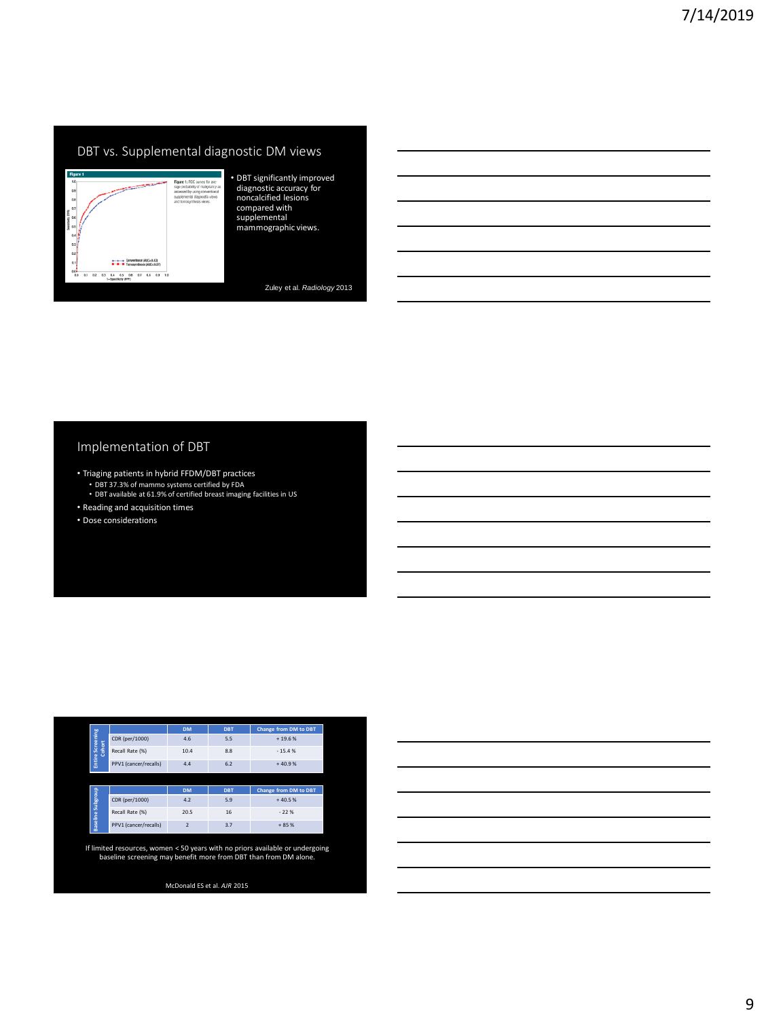# DBT vs. Supplemental diagnostic DM views



• DBT significantly improved diagnostic accuracy for noncalcified lesions compared with supplemental mammographic views.

Zuley et al. *Radiology* 2013

### Implementation of DBT

- Triaging patients in hybrid FFDM/DBT practices
	- DBT 37.3% of mammo systems certified by FDA DBT available at 61.9% of certified breast imaging facilities in US
- Reading and acquisition times
- 
- Dose considerations

|              |                       | <b>DM</b> | <b>DBT</b> | Change from DM to DBT |
|--------------|-----------------------|-----------|------------|-----------------------|
| Screening    | CDR (per/1000)        | 4.6       | 5.5        | $+19.6%$              |
| Cohort       | Recall Rate (%)       | 10.4      | 8.8        | $-15.4%$              |
| Entire       | PPV1 (cancer/recalls) | 4.4       | 6.2        | $+40.9%$              |
|              |                       |           |            |                       |
| $\mathbb{R}$ |                       | <b>DM</b> | <b>DBT</b> | Change from DM to DBT |

| l â             |                       | <b>DM</b> | <b>DBT</b> | Change from DM to DBT |
|-----------------|-----------------------|-----------|------------|-----------------------|
| Subgi           | CDR (per/1000)        | 4.2       | 5.9        | $+40.5%$              |
|                 | Recall Rate (%)       | 20.5      | 16         | $-22%$                |
| <b>Baseline</b> | PPV1 (cancer/recalls) |           | 3.7        | $+85%$                |

If limited resources, women < 50 years with no priors available or undergoing baseline screening may benefit more from DBT than from DM alone.

McDonald ES et al. *AJR* 2015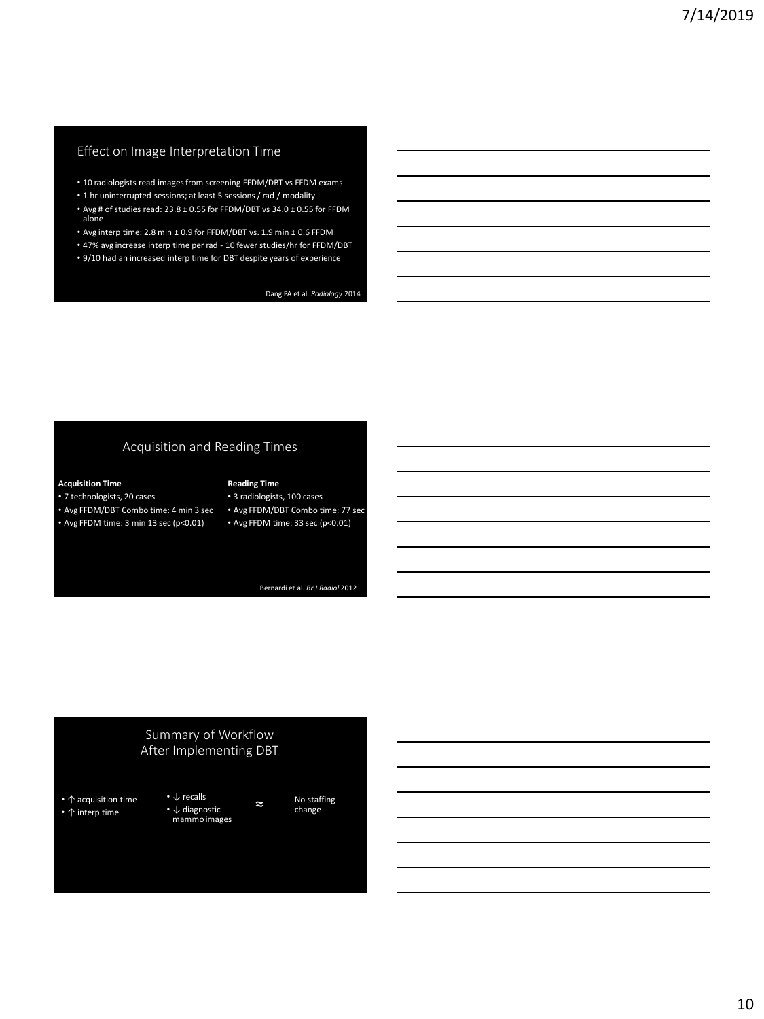# Effect on Image Interpretation Time

- 10 radiologists read images from screening FFDM/DBT vs FFDM exams
- 1 hr uninterrupted sessions; at least 5 sessions / rad / modality
- Avg # of studies read: 23.8 ± 0.55 for FFDM/DBT vs 34.0 ± 0.55 for FFDM alone
- Avg interp time: 2.8 min ± 0.9 for FFDM/DBT vs. 1.9 min ± 0.6 FFDM
- 47% avg increase interp time per rad 10 fewer studies/hr for FFDM/DBT
- 9/10 had an increased interp time for DBT despite years of experience

Dang PA et al. *Radiology* 2014

### Acquisition and Reading Times

#### **Acquisition Time**

- 7 technologists, 20 cases
- Avg FFDM/DBT Combo time: 4 min 3 sec • Avg FFDM time: 3 min 13 sec (p<0.01)
- Avg FFDM/DBT Combo time: 77 sec • Avg FFDM time: 33 sec (p<0.01)

**Reading Time** • 3 radiologists, 100 cases

Bernardi et al. *Br J Radiol* 2012

#### Summary of Workflow After Implementing DBT

- ↑ acquisition time • ↑ interp time
- ↓ recalls • ↓ diagnostic mammo images

No staffing ≈ change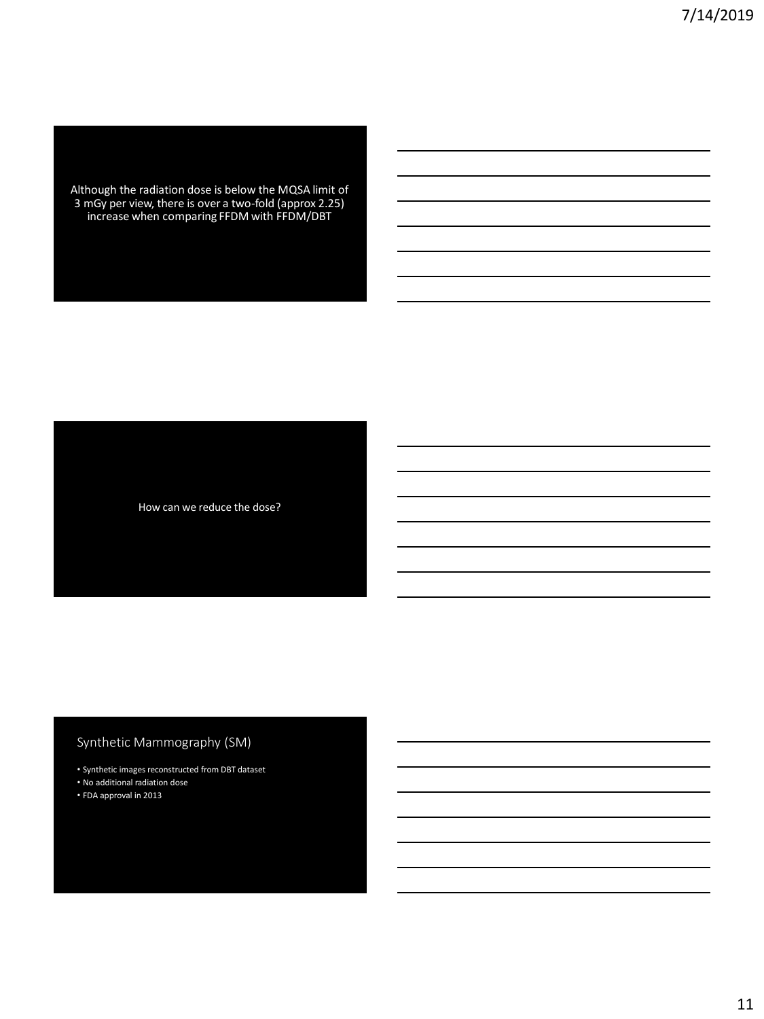Although the radiation dose is below the MQSA limit of 3 mGy per view, there is over a two-fold (approx 2.25) increase when comparing FFDM with FFDM/DBT

How can we reduce the dose?

# Synthetic Mammography (SM)

- Synthetic images reconstructed from DBT dataset
- No additional radiation dose
- FDA approval in 2013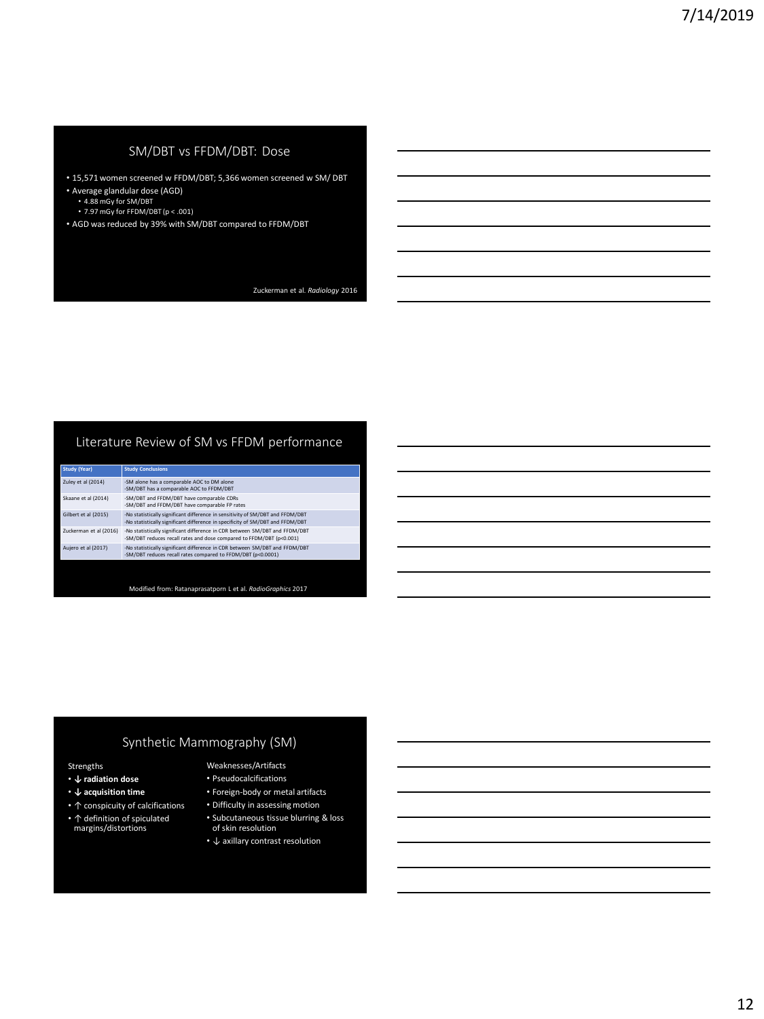## SM/DBT vs FFDM/DBT: Dose

- 15,571 women screened w FFDM/DBT; 5,366 women screened w SM/ DBT
- Average glandular dose (AGD) 4.88 mGy for SM/DBT
	-
	- 7.97 mGy for FFDM/DBT (p < .001)
- AGD was reduced by 39% with SM/DBT compared to FFDM/DBT

Zuckerman et al. *Radiology* 2016

### Literature Review of SM vs FFDM performance

| <b>Study Conclusions</b>                                                                                                                                         |
|------------------------------------------------------------------------------------------------------------------------------------------------------------------|
| -SM alone has a comparable AOC to DM alone<br>-SM/DBT has a comparable AOC to FFDM/DBT                                                                           |
| -SM/DBT and FFDM/DBT have comparable CDRs<br>-SM/DBT and FFDM/DBT have comparable FP rates                                                                       |
| -No statistically significant difference in sensitivity of SM/DBT and FFDM/DBT<br>-No statistically significant difference in specificity of SM/DBT and FFDM/DBT |
| -No statistically significant difference in CDR between SM/DBT and FFDM/DBT<br>-SM/DBT reduces recall rates and dose compared to FFDM/DBT (p<0.001)              |
| -No statistically significant difference in CDR between SM/DBT and FFDM/DBT<br>-SM/DBT reduces recall rates compared to FFDM/DBT (p<0.0001)                      |
|                                                                                                                                                                  |

Modified from: Ratanaprasatporn L et al. *RadioGraphics* 2017

### Synthetic Mammography (SM)

#### Strengths

- **↓ radiation dose**
- **↓ acquisition time**
- ↑ conspicuity of calcifications
- ↑ definition of spiculated margins/distortions
- Weaknesses/Artifacts • Pseudocalcifications
- Foreign-body or metal artifacts
- Difficulty in assessing motion
- Subcutaneous tissue blurring & loss of skin resolution
- ↓ axillary contrast resolution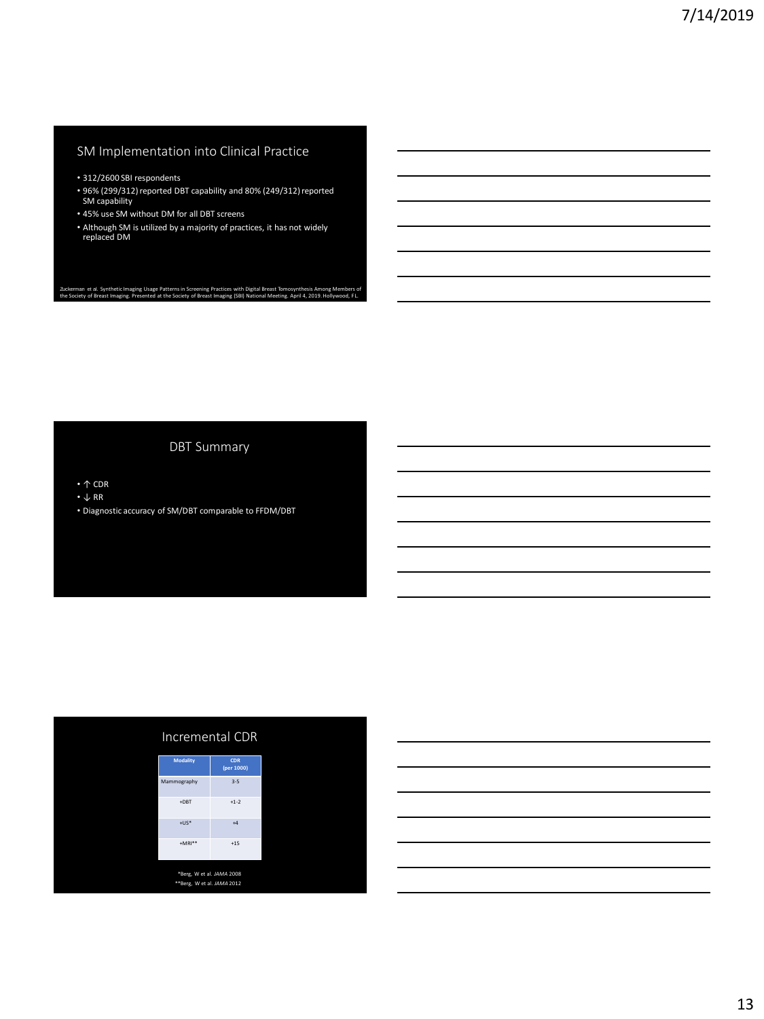### SM Implementation into Clinical Practice

- 312/2600 SBI respondents
- 96% (299/312) reported DBT capability and 80% (249/312) reported SM capability
- 45% use SM without DM for all DBT screens
- Although SM is utilized by a majority of practices, it has not widely replaced DM

Zuckerman et al. Synthetic Imaging Usage Patterns in Screening Practices with Digital Breast Tomosynthesis Among Members of<br>the Society of Breast Imaging. Presented at the Society of Breast Imaging (SBI) National Meeting.

#### DBT Summary

• ↑ CDR

- $\bullet$   $\downarrow$  RR
- Diagnostic accuracy of SM/DBT comparable to FFDM/DBT

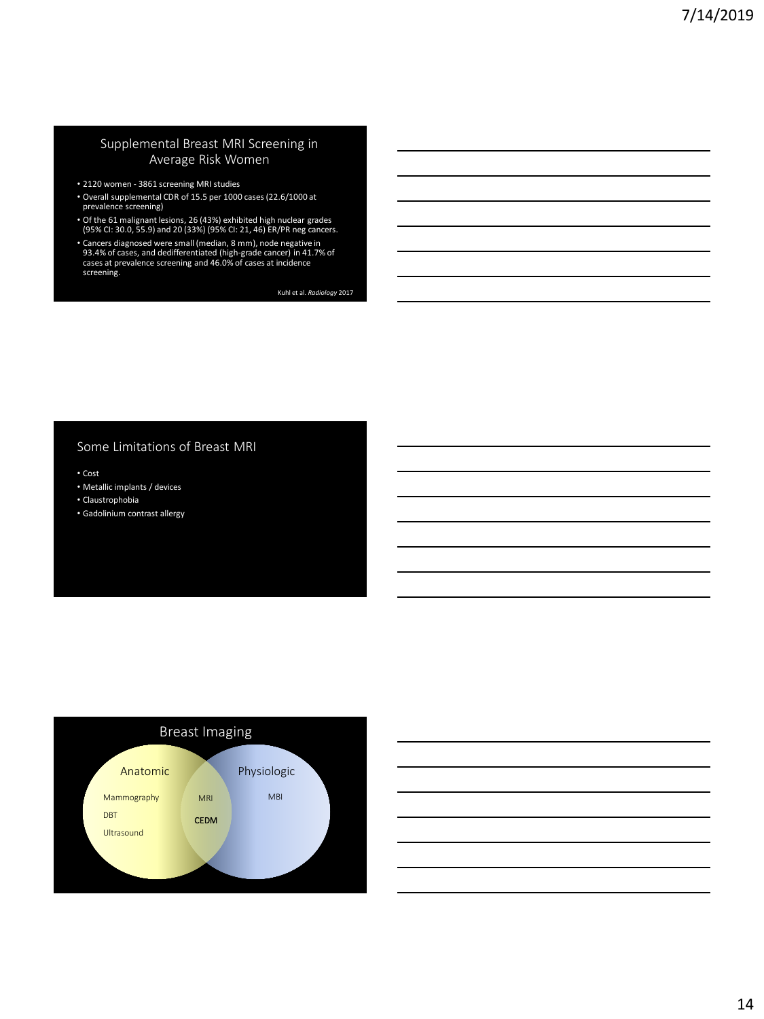#### Supplemental Breast MRI Screening in Average Risk Women

- 2120 women 3861 screening MRI studies
- Overall supplemental CDR of 15.5 per 1000 cases (22.6/1000 at prevalence screening)
- Of the 61 malignant lesions, 26 (43%) exhibited high nuclear grades (95% CI: 30.0, 55.9) and 20 (33%) (95% CI: 21, 46) ER/PR neg cancers.
- Cancers diagnosed were small (median, 8 mm), node negative in 93.4% of cases, and dedifferentiated (high-grade cancer) in 41.7% of cases at prevalence screening and 46.0% of cases at incidence screening.

Kuhl et al. *Radiology* 2017

#### Some Limitations of Breast MRI

• Cost

- Metallic implants / devices
- Claustrophobia
- Gadolinium contrast allergy



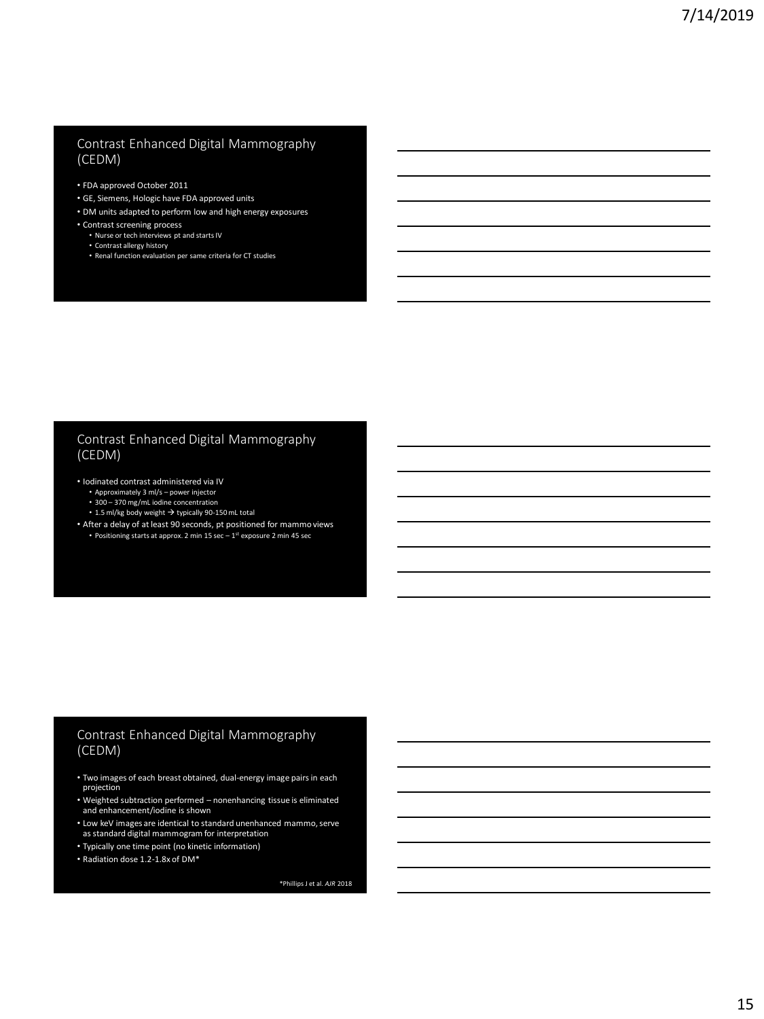#### Contrast Enhanced Digital Mammography (CEDM)

- FDA approved October 2011
- GE, Siemens, Hologic have FDA approved units
- DM units adapted to perform low and high energy exposures
- Contrast screening process
	- Nurse or tech interviews pt and starts IV
	- Contrast allergy history Renal function evaluation per same criteria for CT studies

#### Contrast Enhanced Digital Mammography (CEDM)

- Iodinated contrast administered via IV
	- Approximately 3 ml/s power injector
	- 300 370 mg/mL iodine concentration
	- 1.5 ml/kg body weight  $\rightarrow$  typically 90-150 mL total
- After a delay of at least 90 seconds, pt positioned for mammo views • Positioning starts at approx. 2 min 15 sec - 1<sup>st</sup> exposure 2 min 45 sec

# Contrast Enhanced Digital Mammography (CEDM)

- Two images of each breast obtained, dual-energy image pairs in each projection
- Weighted subtraction performed nonenhancing tissue is eliminated and enhancement/iodine is shown
- Low keV images are identical to standard unenhanced mammo, serve as standard digital mammogram for interpretation
- 
- Typically one time point (no kinetic information)
- Radiation dose 1.2-1.8x of DM\*

\*Phillips J et al. *AJR* 2018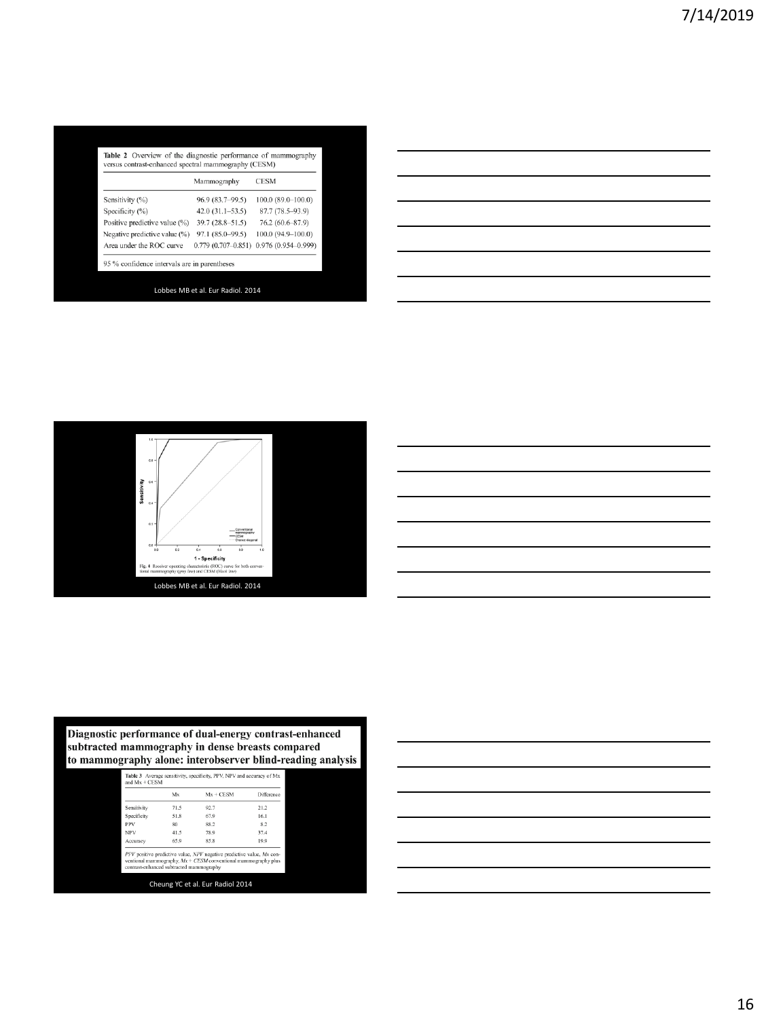|                               | Mammography            | <b>CESM</b>            |
|-------------------------------|------------------------|------------------------|
| Sensitivity (%)               | 96.9 (83.7-99.5)       | $100.0(89.0-100.0)$    |
| Specificity (%)               | $42.0(31.1-53.5)$      | 87.7 (78.5-93.9)       |
| Positive predictive value (%) | $39.7(28.8 - 51.5)$    | 76.2 (60.6-87.9)       |
| Negative predictive value (%) | 97.1 (85.0-99.5)       | 100.0 (94.9-100.0)     |
| Area under the ROC curve      | $0.779(0.707 - 0.851)$ | $0.976(0.954 - 0.999)$ |





# Diagnostic performance of dual-energy contrast-enhanced<br>subtracted mammography in dense breasts compared<br>to mammography alone: interobserver blind-reading analysis

|             | Mx   | $Mx + CFSM$ | Difference |
|-------------|------|-------------|------------|
| Sensitivity | 71.5 | 92.7        | 21.2       |
| Specificity | 51.8 | 67.9        | 16.1       |
| <b>PPV</b>  | 80   | 88.2        | 82         |
| <b>NPV</b>  | 41.5 | 78.9        | 37.4       |
| Accuracy    | 65.9 | 85.8        | 19.9       |

| $\overline{\phantom{a}}$                                                                                                 |  |  |                          |
|--------------------------------------------------------------------------------------------------------------------------|--|--|--------------------------|
|                                                                                                                          |  |  | $\overline{\phantom{a}}$ |
|                                                                                                                          |  |  |                          |
|                                                                                                                          |  |  |                          |
| <u>successive and the second control of the second control of the second control of the second control of the second</u> |  |  |                          |
|                                                                                                                          |  |  |                          |
|                                                                                                                          |  |  |                          |
|                                                                                                                          |  |  |                          |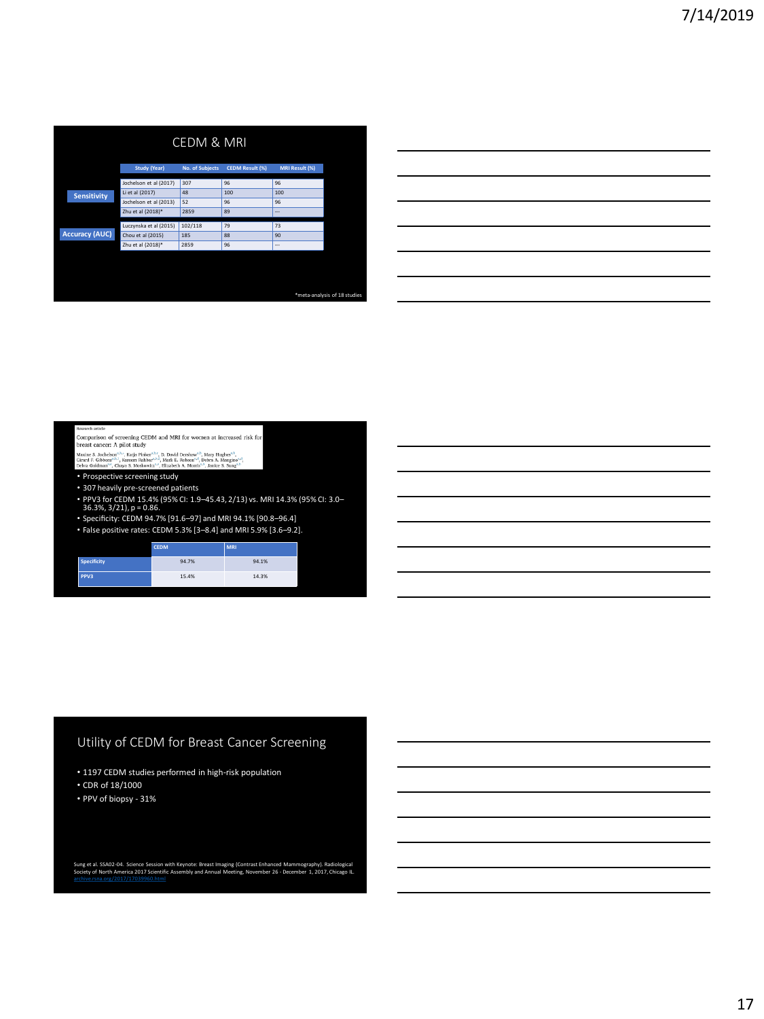|                       |                        | <b>CEDM &amp; MRI</b> |                        |                       |                              |
|-----------------------|------------------------|-----------------------|------------------------|-----------------------|------------------------------|
|                       | Study (Year)           | No. of Subjects       | <b>CEDM Result (%)</b> | <b>MRI Result (%)</b> |                              |
|                       | Jochelson et al (2017) | 307                   | 96                     | 96                    |                              |
| <b>Sensitivity</b>    | Li et al (2017)        | 48                    | 100                    | 100                   |                              |
|                       | Jochelson et al (2013) | 52                    | 96                     | 96                    |                              |
|                       | Zhu et al (2018)*      | 2859                  | 89                     | $\overline{a}$        |                              |
|                       | Luczynska et al (2015) | 102/118               | 79                     | 73                    |                              |
| <b>Accuracy (AUC)</b> | Chou et al (2015)      | 185                   | 88                     | 90                    |                              |
|                       | Zhu et al (2018)*      | 2859                  | 96                     | ---                   |                              |
|                       |                        |                       |                        |                       |                              |
|                       |                        |                       |                        |                       |                              |
|                       |                        |                       |                        |                       | *meta-analysis of 18 studies |

Comparison of screening CEDM and MRI for women at increased risk for breast cancer:  $\mathbf{A}$  pilot study

Aaxine S. Jochelson'<sup>, A,</sup>", Katja Pinker'<sup>, A,«</sup>, D. David Dershaw'<sup>, A</sup>, Mary Hughes'<sup>, 3</sup>,<br>Sirard F. Gibbons'<sup>, A,1</sup>, Kareem Rahbar<sup>a, I,2</sup>, Mark E. Robson'<sup>, ⊿</sup>, Debra A. Mangino<sup>2, 8</sup>,<br>bebra Goldman'''', Chaya S. Mos

- Prospective screening study
- 307 heavily pre-screened patients
- PPV3 for CEDM 15.4% (95% CI: 1.9–45.43, 2/13) vs. MRI 14.3% (95% CI: 3.0– 36.3%, 3/21), p = 0.86.
- Specificity: CEDM 94.7% [91.6–97] and MRI 94.1% [90.8–96.4]
- False positive rates: CEDM 5.3% [3–8.4] and MRI 5.9% [3.6–9.2].

|                    | <b>CEDM</b> | <b>MRI</b> |
|--------------------|-------------|------------|
| <b>Specificity</b> | 94.7%       | 94.1%      |
| PPV <sub>3</sub>   | 15.4%       | 14.3%      |

# Utility of CEDM for Breast Cancer Screening

- 1197 CEDM studies performed in high-risk population
- CDR of 18/1000
- PPV of biopsy 31%

Sung et al. SSA02-04. Science Session with Keynote: Breast Imaging (Contrast Enhanced Mammography). Radiological<br>Society of North America 2017 Scientific Assembly and Annual Meeting, November 26 - December 1, 2017, Chicago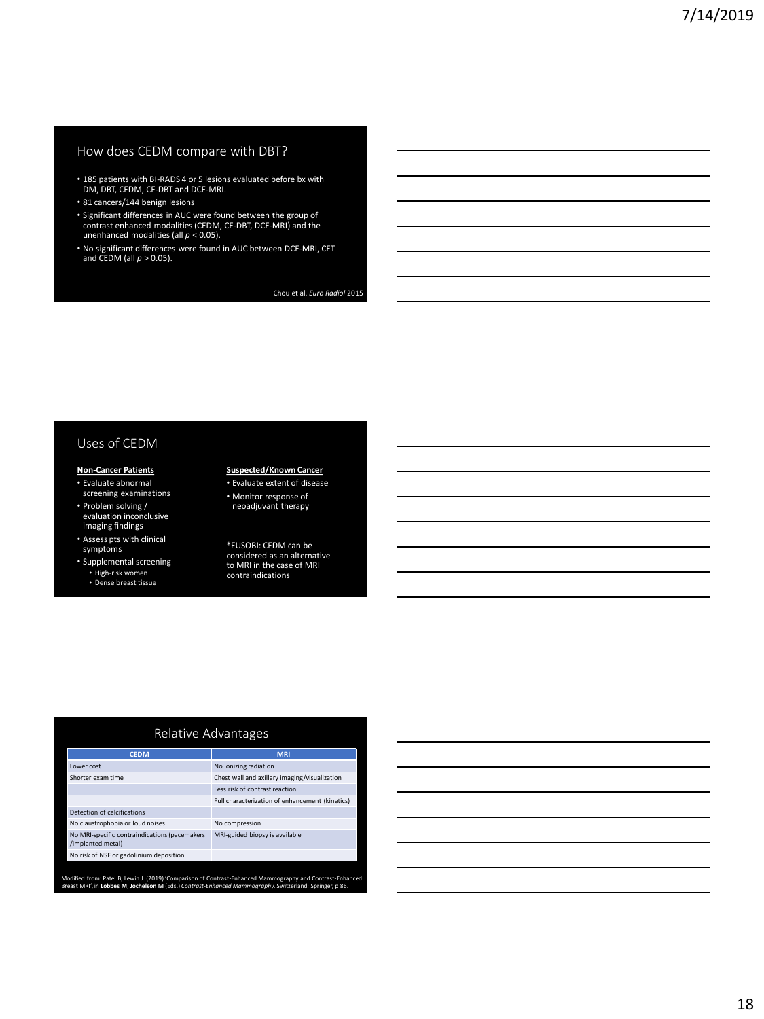#### How does CEDM compare with DBT?

- 185 patients with BI-RADS 4 or 5 lesions evaluated before bx with DM, DBT, CEDM, CE-DBT and DCE-MRI.
- 81 cancers/144 benign lesions
- Significant differences in AUC were found between the group of contrast enhanced modalities (CEDM, CE-DBT, DCE-MRI) and the unenhanced modalities (all *p* < 0.05).
- No significant differences were found in AUC between DCE-MRI, CET and CEDM (all *p*> 0.05).

Chou et al. *Euro Radiol* 2015

#### Uses of CEDM

#### **Non-Cancer Patients**

- Evaluate abnormal screening examinations
- Problem solving / evaluation inconclusive imaging findings
- Assess pts with clinical symptoms
- Supplemental screening • High-risk women
	- Dense breast tissue

#### **Suspected/Known Cancer** • Evaluate extent of disease

- Monitor response of neoadjuvant therapy
- \*EUSOBI: CEDM can be

considered as an alternative to MRI in the case of MRI contraindications

#### Relative Advantages

| <b>CEDM</b>                                                        | <b>MRI</b>                                      |
|--------------------------------------------------------------------|-------------------------------------------------|
| Lower cost                                                         | No ionizing radiation                           |
| Shorter exam time                                                  | Chest wall and axillary imaging/visualization   |
|                                                                    | Less risk of contrast reaction                  |
|                                                                    | Full characterization of enhancement (kinetics) |
| Detection of calcifications                                        |                                                 |
| No claustrophobia or loud noises                                   | No compression                                  |
| No MRI-specific contraindications (pacemakers<br>/implanted metal) | MRI-guided biopsy is available                  |
| No risk of NSF or gadolinium deposition                            |                                                 |

Modified from: Patel B, Lewin J. (2019) 'Comparison of Contrast-Enhanced Mammography and Contrast-Enhanced<br>Breast MRI', in L**obbes M, Jochelson M** (Eds.) *Contrast-Enhanced Mammography.* Switzerland: Springer, p 86.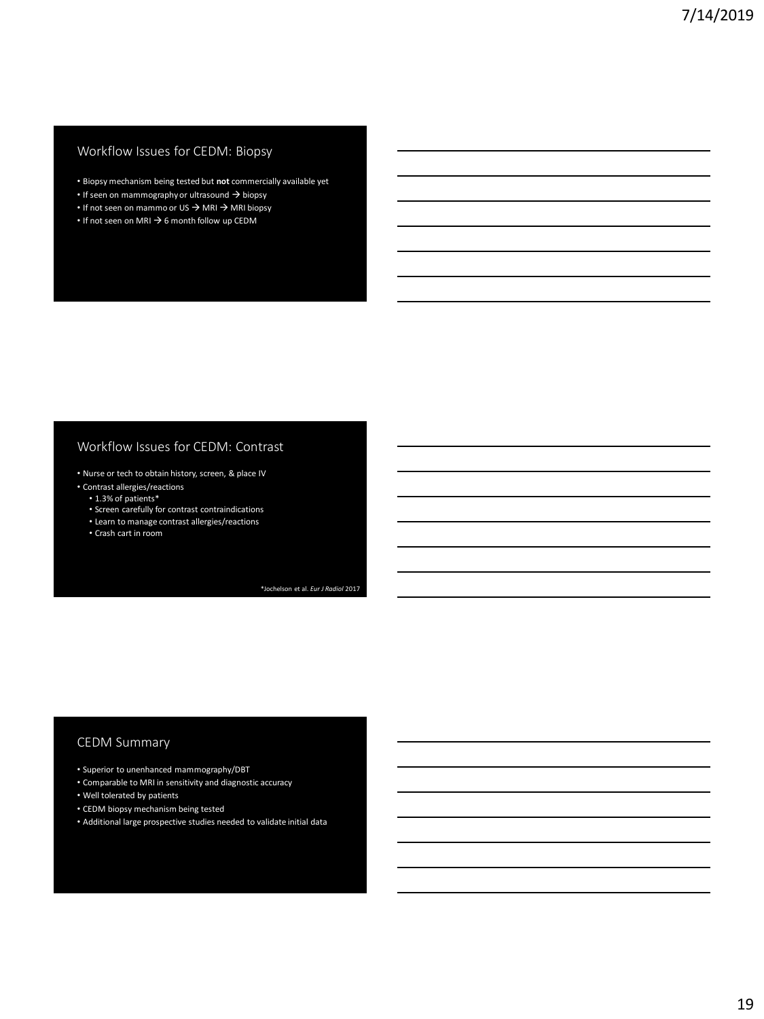## Workflow Issues for CEDM: Biopsy

- Biopsy mechanism being tested but **not** commercially available yet
- If seen on mammography or ultrasound → biopsy
- If not seen on mammo or US → MRI → MRI biopsy
- If not seen on MRI → 6 month follow up CEDM

#### Workflow Issues for CEDM: Contrast

- Nurse or tech to obtain history, screen, & place IV
- Contrast allergies/reactions
	- 1.3% of patients\*
	- Screen carefully for contrast contraindications
	- Learn to manage contrast allergies/reactions
	- Crash cart in room

\*Jochelson et al. *Eur J Radiol* 2017

#### CEDM Summary

- Superior to unenhanced mammography/DBT
- Comparable to MRI in sensitivity and diagnostic accuracy
- Well tolerated by patients
- CEDM biopsy mechanism being tested
- Additional large prospective studies needed to validate initial data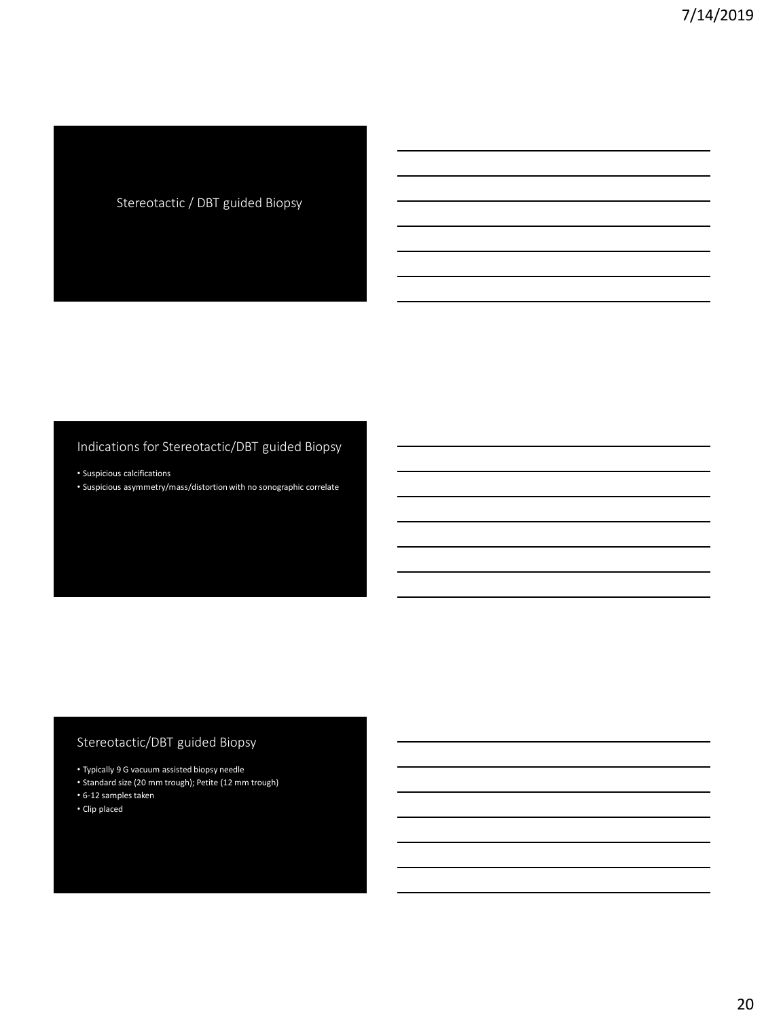# Stereotactic / DBT guided Biopsy

# Indications for Stereotactic/DBT guided Biopsy

• Suspicious calcifications

• Suspicious asymmetry/mass/distortion with no sonographic correlate

# Stereotactic/DBT guided Biopsy

- Typically 9 G vacuum assisted biopsy needle
- Standard size (20 mm trough); Petite (12 mm trough)
- 6-12 samples taken
- Clip placed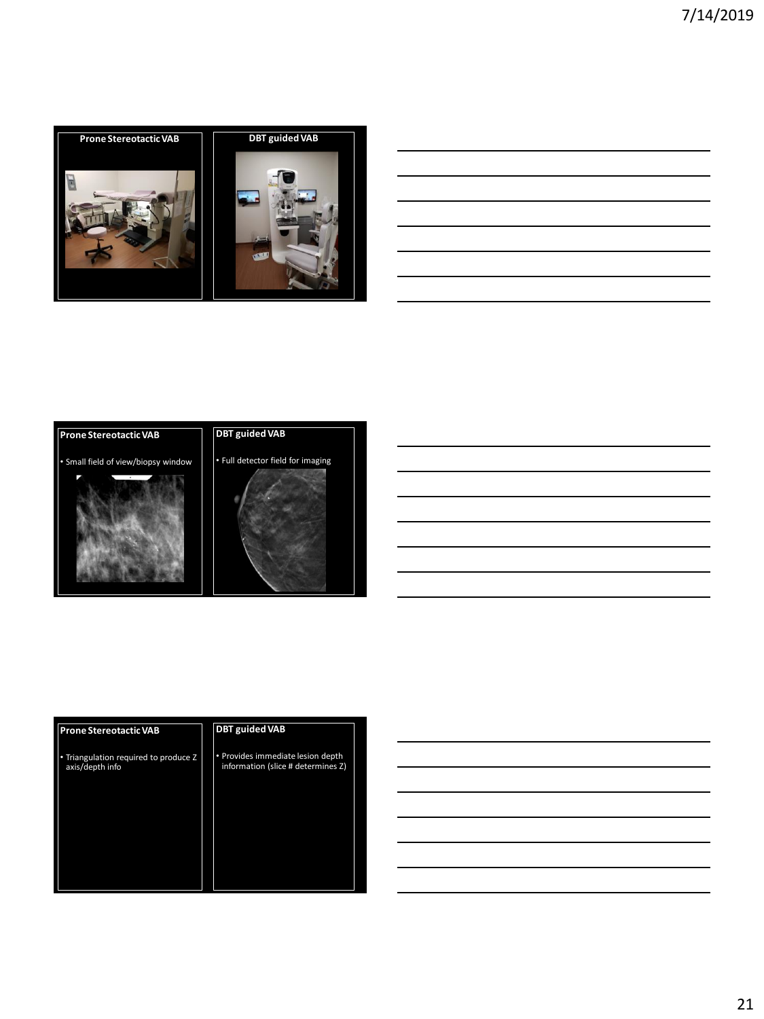







| <b>Prone Stereotactic VAB</b>                            | <b>DBT</b> guided VAB                                                   |
|----------------------------------------------------------|-------------------------------------------------------------------------|
| • Triangulation required to produce Z<br>axis/depth info | • Provides immediate lesion depth<br>information (slice # determines Z) |
|                                                          |                                                                         |

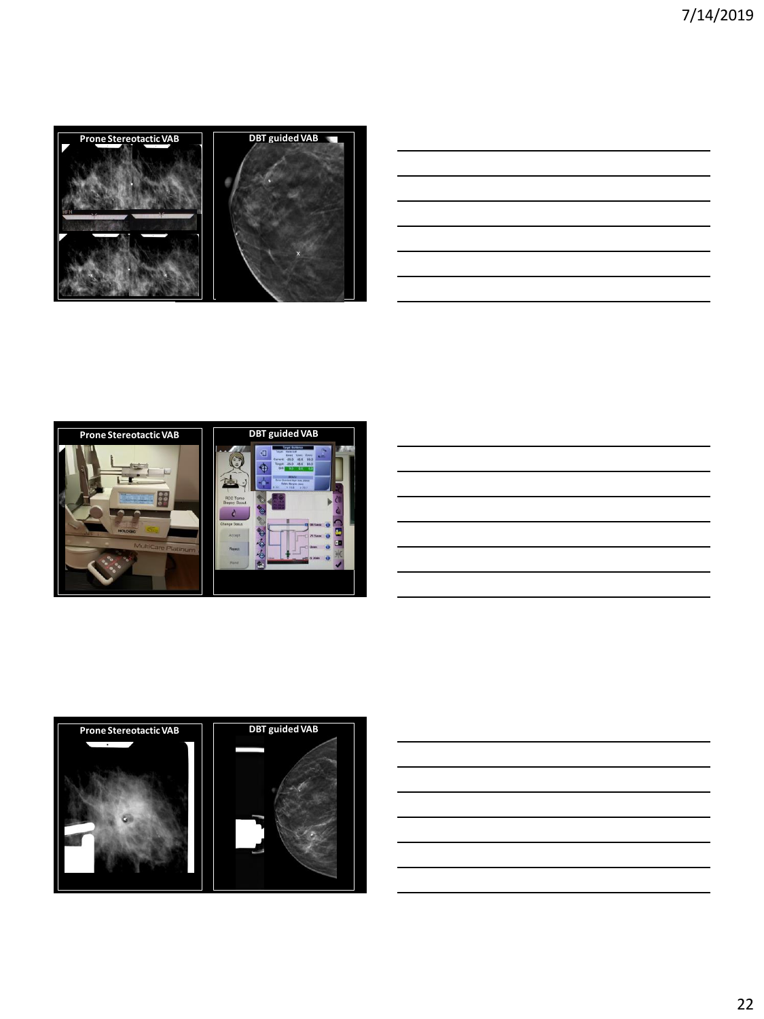





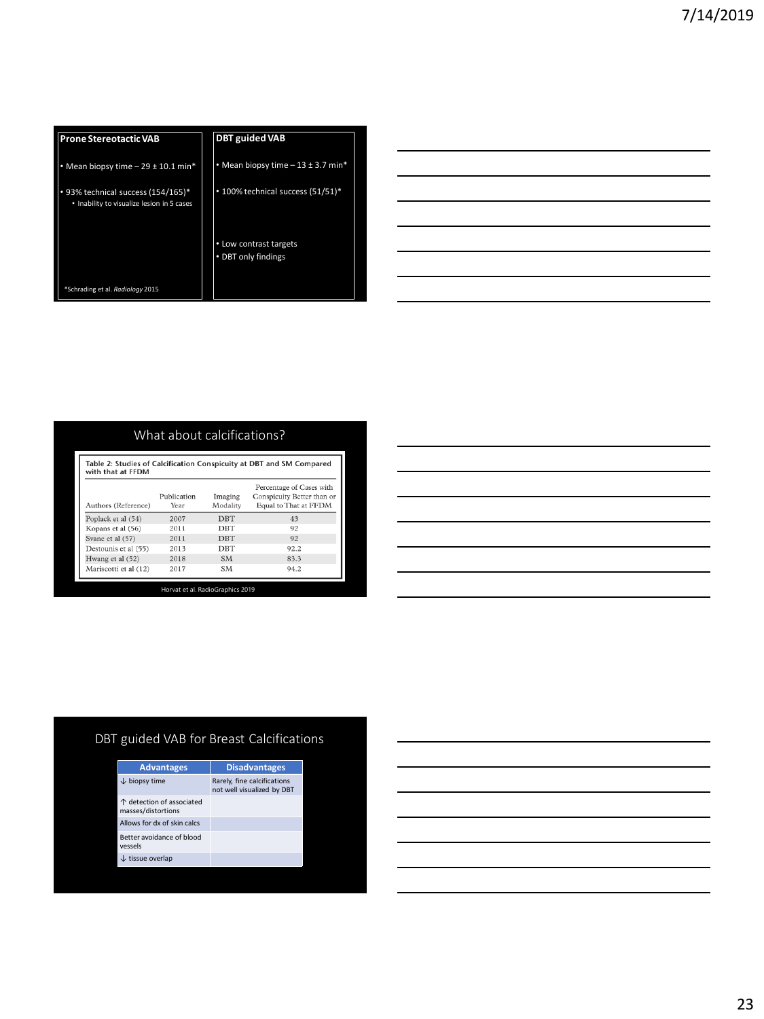| <b>Prone Stereotactic VAB</b>                                                    | <b>DBT</b> guided VAB                         |
|----------------------------------------------------------------------------------|-----------------------------------------------|
| Mean biopsy time $-29 \pm 10.1$ min*                                             | • Mean biopsy time $-13 \pm 3.7$ min*         |
| • 93% technical success (154/165)*<br>• Inability to visualize lesion in 5 cases | • 100% technical success (51/51)*             |
|                                                                                  | • Low contrast targets<br>• DBT only findings |
| *Schrading et al. Radiology 2015                                                 |                                               |

| the contract of the contract of the contract of                            |  |  |
|----------------------------------------------------------------------------|--|--|
|                                                                            |  |  |
| the control of the control of the control of the control of the control of |  |  |
|                                                                            |  |  |
|                                                                            |  |  |
|                                                                            |  |  |
|                                                                            |  |  |
|                                                                            |  |  |
|                                                                            |  |  |
|                                                                            |  |  |
|                                                                            |  |  |
|                                                                            |  |  |
|                                                                            |  |  |

# What about calcifications?

| Authors (Reference)   | Publication<br>Year | Imaging<br>Modality | Percentage of Cases with<br>Conspicuity Better than or<br>Equal to That at FFDM |
|-----------------------|---------------------|---------------------|---------------------------------------------------------------------------------|
| Poplack et al (54)    | 2007                | <b>DBT</b>          | 43                                                                              |
| Kopans et al (56)     | 2011                | DBT                 | 92                                                                              |
| Svane et al (57)      | 2011                | <b>DBT</b>          | 92                                                                              |
| Destounis et al (55)  | 2013                | <b>DBT</b>          | 92.2                                                                            |
| Hwang et al (52)      | 2018                | <b>SM</b>           | 83.3                                                                            |
| Mariscotti et al (12) | 2017                | <b>SM</b>           | 94.2                                                                            |

Horvat et al. RadioGraphics 2019

# DBT guided VAB for Breast Calcifications

| <b>Advantages</b>                               | <b>Disadvantages</b>                                      |
|-------------------------------------------------|-----------------------------------------------------------|
| $\downarrow$ biopsy time                        | Rarely, fine calcifications<br>not well visualized by DBT |
| ↑ detection of associated<br>masses/distortions |                                                           |
| Allows for dx of skin calcs                     |                                                           |
| Better avoidance of blood<br>vessels            |                                                           |
| $\downarrow$ tissue overlap                     |                                                           |